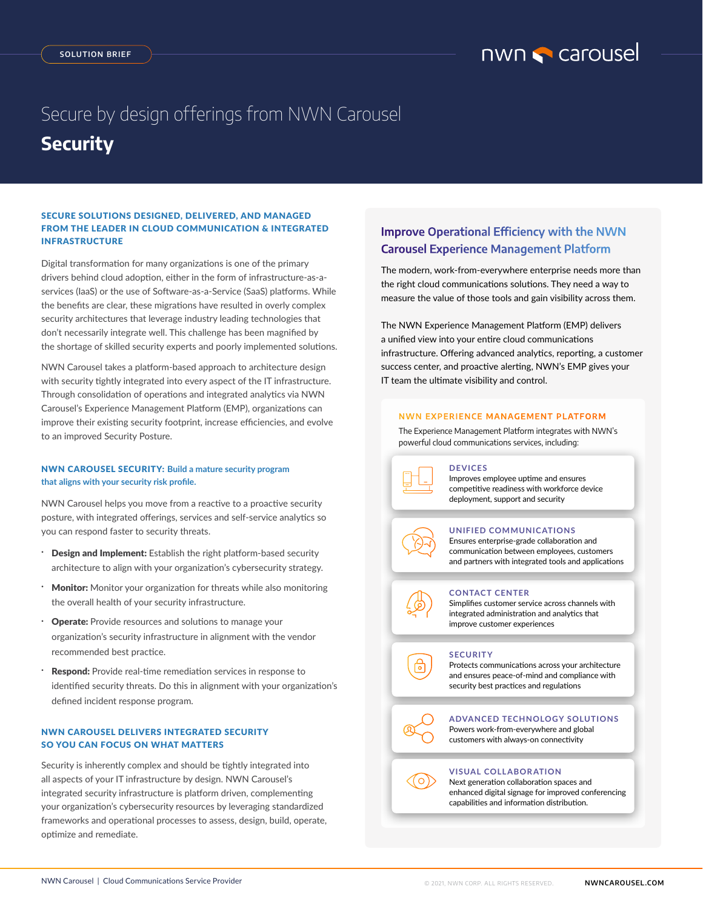# Secure by design offerings from NWN Carousel **Security**

## SECURE SOLUTIONS DESIGNED, DELIVERED, AND MANAGED FROM THE LEADER IN CLOUD COMMUNICATION & INTEGRATED INFRASTRUCTURE

Digital transformation for many organizations is one of the primary drivers behind cloud adoption, either in the form of infrastructure-as-aservices (IaaS) or the use of Software-as-a-Service (SaaS) platforms. While the benefits are clear, these migrations have resulted in overly complex security architectures that leverage industry leading technologies that don't necessarily integrate well. This challenge has been magnified by the shortage of skilled security experts and poorly implemented solutions.

NWN Carousel takes a platform-based approach to architecture design with security tightly integrated into every aspect of the IT infrastructure. Through consolidation of operations and integrated analytics via NWN Carousel's Experience Management Platform (EMP), organizations can improve their existing security footprint, increase efficiencies, and evolve to an improved Security Posture.

## NWN CAROUSEL SECURITY: **Build a mature security program that aligns with your security risk profile.**

NWN Carousel helps you move from a reactive to a proactive security posture, with integrated offerings, services and self-service analytics so you can respond faster to security threats.

- Design and Implement: Establish the right platform-based security architecture to align with your organization's cybersecurity strategy.
- Monitor: Monitor your organization for threats while also monitoring the overall health of your security infrastructure.
- Operate: Provide resources and solutions to manage your organization's security infrastructure in alignment with the vendor recommended best practice.
- Respond: Provide real-time remediation services in response to identified security threats. Do this in alignment with your organization's defined incident response program.

## NWN CAROUSEL DELIVERS INTEGRATED SECURITY SO YOU CAN FOCUS ON WHAT MATTERS

Security is inherently complex and should be tightly integrated into all aspects of your IT infrastructure by design. NWN Carousel's integrated security infrastructure is platform driven, complementing your organization's cybersecurity resources by leveraging standardized frameworks and operational processes to assess, design, build, operate, optimize and remediate.

# **Improve Operational Efficiency with the NWN Carousel Experience Management Platform**

The modern, work-from-everywhere enterprise needs more than the right cloud communications solutions. They need a way to measure the value of those tools and gain visibility across them.

The NWN Experience Management Platform (EMP) delivers a unified view into your entire cloud communications infrastructure. Offering advanced analytics, reporting, a customer success center, and proactive alerting, NWN's EMP gives your IT team the ultimate visibility and control.

## **NWN EXPERIENCE MANAGEMENT PLATFORM**

The Experience Management Platform integrates with NWN's powerful cloud communications services, including:



#### **DEVICES**

Improves employee uptime and ensures competitive readiness with workforce device deployment, support and security

## **UNIFIED COMMUNICATIONS**

Ensures enterprise-grade collaboration and communication between employees, customers and partners with integrated tools and applications



## **CONTACT CENTER**

Simplifies customer service across channels with integrated administration and analytics that improve customer experiences

#### **SECURITY**

Protects communications across your architecture and ensures peace-of-mind and compliance with security best practices and regulations



**ADVANCED TECHNOLOGY SOLUTIONS** Powers work-from-everywhere and global customers with always-on connectivity

## **VISUAL COLLABORATION**

Next generation collaboration spaces and enhanced digital signage for improved conferencing capabilities and information distribution.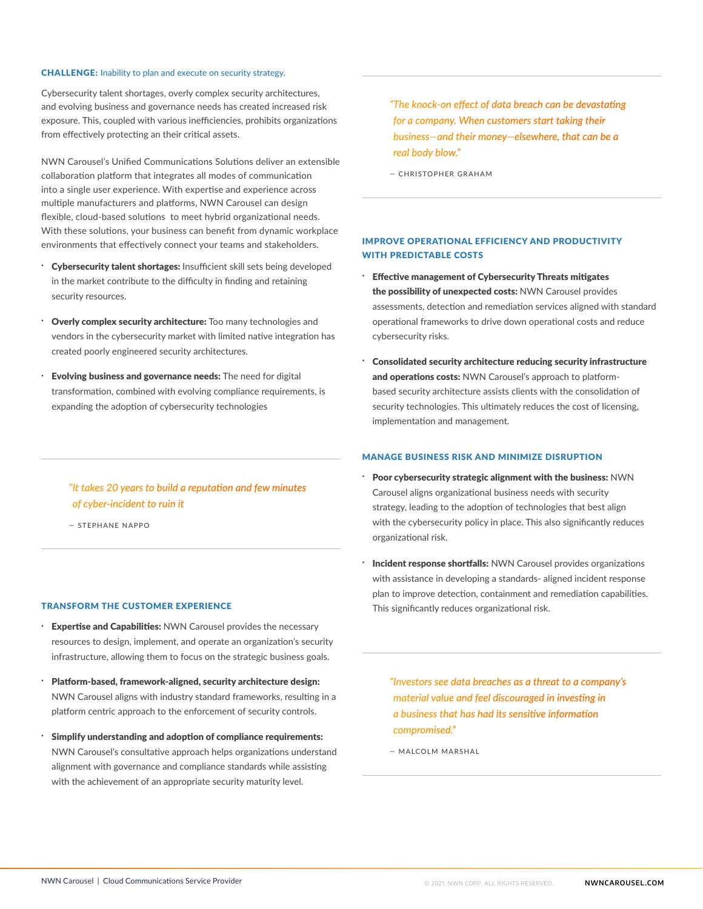#### CHALLENGE: Inability to plan and execute on security strategy.

Cybersecurity talent shortages, overly complex security architectures, and evolving business and governance needs has created increased risk exposure. This, coupled with various inefficiencies, prohibits organizations from effectively protecting an their critical assets.

NWN Carousel's Unified Communications Solutions deliver an extensible collaboration platform that integrates all modes of communication into a single user experience. With expertise and experience across multiple manufacturers and platforms, NWN Carousel can design flexible, cloud-based solutions to meet hybrid organizational needs. With these solutions, your business can benefit from dynamic workplace environments that effectively connect your teams and stakeholders.

- Cybersecurity talent shortages: Insufficient skill sets being developed in the market contribute to the difficulty in finding and retaining security resources.
- Overly complex security architecture: Too many technologies and vendors in the cybersecurity market with limited native integration has created poorly engineered security architectures.
- **Evolving business and governance needs:** The need for digital transformation, combined with evolving compliance requirements, is expanding the adoption of cybersecurity technologies

## *"It takes 20 years to build a reputation and few minutes of cyber-incident to ruin it*

— STEPHANE NAPPO

#### TRANSFORM THE CUSTOMER EXPERIENCE

- **Expertise and Capabilities: NWN Carousel provides the necessary** resources to design, implement, and operate an organization's security infrastructure, allowing them to focus on the strategic business goals.
- Platform-based, framework-aligned, security architecture design: NWN Carousel aligns with industry standard frameworks, resulting in a platform centric approach to the enforcement of security controls.
- Simplify understanding and adoption of compliance requirements: NWN Carousel's consultative approach helps organizations understand alignment with governance and compliance standards while assisting with the achievement of an appropriate security maturity level.
- *"The knock-on effect of data breach can be devastating for a company. When customers start taking their business—and their money—elsewhere, that can be a real body blow."*
- CHRISTOPHER GRAHAM

## IMPROVE OPERATIONAL EFFICIENCY AND PRODUCTIVITY WITH PREDICTABLE COSTS

- Effective management of Cybersecurity Threats mitigates the possibility of unexpected costs: NWN Carousel provides assessments, detection and remediation services aligned with standard operational frameworks to drive down operational costs and reduce cybersecurity risks.
- Consolidated security architecture reducing security infrastructure and operations costs: NWN Carousel's approach to platformbased security architecture assists clients with the consolidation of security technologies. This ultimately reduces the cost of licensing, implementation and management.

#### MANAGE BUSINESS RISK AND MINIMIZE DISRUPTION

- Poor cybersecurity strategic alignment with the business: NWN Carousel aligns organizational business needs with security strategy, leading to the adoption of technologies that best align with the cybersecurity policy in place. This also significantly reduces organizational risk.
- **Incident response shortfalls: NWN Carousel provides organizations** with assistance in developing a standards- aligned incident response plan to improve detection, containment and remediation capabilities. This significantly reduces organizational risk.

*"Investors see data breaches as a threat to a company's material value and feel discouraged in investing in a business that has had its sensitive information compromised."*

— MALCOLM MARSHAL